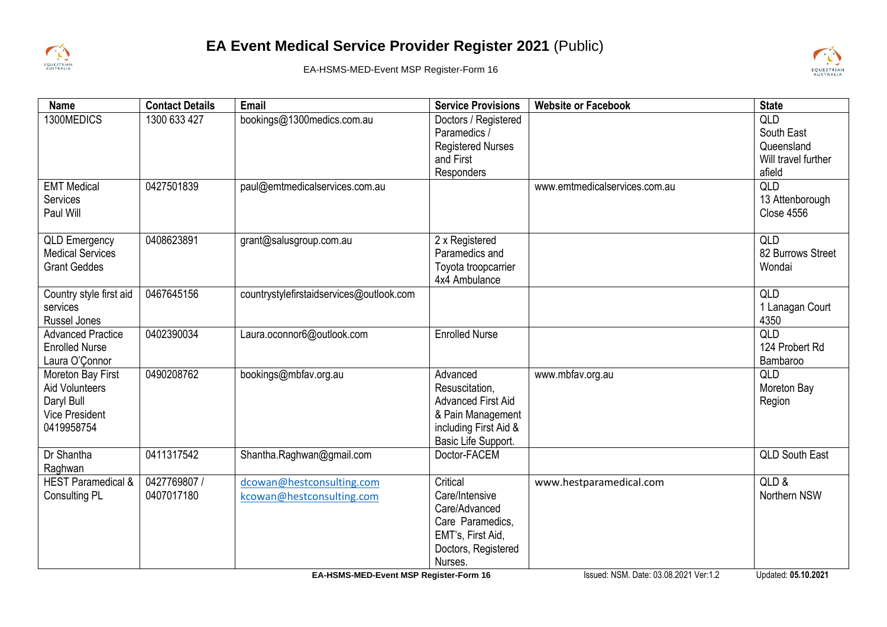

## **EA Event Medical Service Provider Register 2021** (Public)

EA-HSMS-MED-Event MSP Register-Form 16



| <b>Name</b>                                                                                     | <b>Contact Details</b>     | <b>Email</b>                                           | <b>Service Provisions</b>                                                                                                    | <b>Website or Facebook</b>    | <b>State</b>                                                     |
|-------------------------------------------------------------------------------------------------|----------------------------|--------------------------------------------------------|------------------------------------------------------------------------------------------------------------------------------|-------------------------------|------------------------------------------------------------------|
| 1300MEDICS                                                                                      | 1300 633 427               | bookings@1300medics.com.au                             | Doctors / Registered<br>Paramedics /<br><b>Registered Nurses</b><br>and First<br>Responders                                  |                               | QLD<br>South East<br>Queensland<br>Will travel further<br>afield |
| <b>EMT Medical</b><br>Services<br>Paul Will                                                     | 0427501839                 | paul@emtmedicalservices.com.au                         |                                                                                                                              | www.emtmedicalservices.com.au | QLD<br>13 Attenborough<br><b>Close 4556</b>                      |
| <b>QLD Emergency</b><br><b>Medical Services</b><br><b>Grant Geddes</b>                          | 0408623891                 | grant@salusgroup.com.au                                | 2 x Registered<br>Paramedics and<br>Toyota troopcarrier<br>4x4 Ambulance                                                     |                               | QLD<br>82 Burrows Street<br>Wondai                               |
| Country style first aid<br>services<br><b>Russel Jones</b>                                      | 0467645156                 | countrystylefirstaidservices@outlook.com               |                                                                                                                              |                               | QLD<br>1 Lanagan Court<br>4350                                   |
| <b>Advanced Practice</b><br><b>Enrolled Nurse</b><br>Laura O'Connor                             | 0402390034                 | Laura.oconnor6@outlook.com                             | <b>Enrolled Nurse</b>                                                                                                        |                               | QLD<br>124 Probert Rd<br>Bambaroo                                |
| Moreton Bay First<br><b>Aid Volunteers</b><br>Daryl Bull<br><b>Vice President</b><br>0419958754 | 0490208762                 | bookings@mbfav.org.au                                  | Advanced<br>Resuscitation,<br><b>Advanced First Aid</b><br>& Pain Management<br>including First Aid &<br>Basic Life Support. | www.mbfav.org.au              | QLD<br>Moreton Bay<br>Region                                     |
| Dr Shantha<br>Raghwan                                                                           | 0411317542                 | Shantha.Raghwan@gmail.com                              | Doctor-FACEM                                                                                                                 |                               | <b>QLD South East</b>                                            |
| <b>HEST Paramedical &amp;</b><br><b>Consulting PL</b>                                           | 0427769807 /<br>0407017180 | dcowan@hestconsulting.com<br>kcowan@hestconsulting.com | Critical<br>Care/Intensive<br>Care/Advanced<br>Care Paramedics,<br>EMT's, First Aid,<br>Doctors, Registered<br>Nurses.       | www.hestparamedical.com       | QLD&<br>Northern NSW                                             |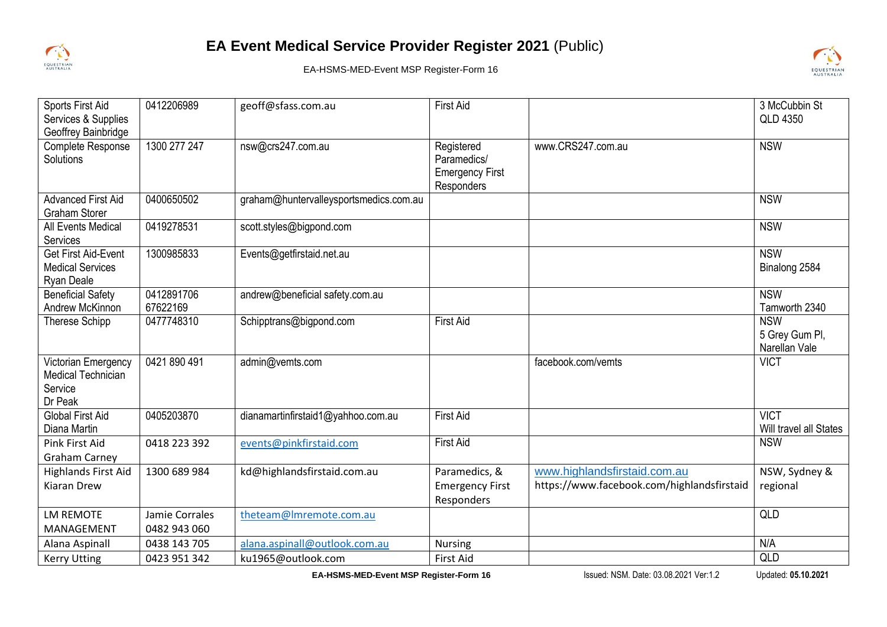

## **EA Event Medical Service Provider Register 2021** (Public)





| Sports First Aid<br>Services & Supplies<br>Geoffrey Bainbridge         | 0412206989                     | geoff@sfass.com.au                     | <b>First Aid</b>                                                  |                                                                            | 3 McCubbin St<br>QLD 4350                     |
|------------------------------------------------------------------------|--------------------------------|----------------------------------------|-------------------------------------------------------------------|----------------------------------------------------------------------------|-----------------------------------------------|
| Complete Response<br>Solutions                                         | 1300 277 247                   | nsw@crs247.com.au                      | Registered<br>Paramedics/<br><b>Emergency First</b><br>Responders | www.CRS247.com.au                                                          | <b>NSW</b>                                    |
| <b>Advanced First Aid</b><br><b>Graham Storer</b>                      | 0400650502                     | graham@huntervalleysportsmedics.com.au |                                                                   |                                                                            | <b>NSW</b>                                    |
| All Events Medical<br>Services                                         | 0419278531                     | scott.styles@bigpond.com               |                                                                   |                                                                            | <b>NSW</b>                                    |
| Get First Aid-Event<br><b>Medical Services</b><br>Ryan Deale           | 1300985833                     | Events@getfirstaid.net.au              |                                                                   |                                                                            | <b>NSW</b><br>Binalong 2584                   |
| <b>Beneficial Safety</b><br>Andrew McKinnon                            | 0412891706<br>67622169         | andrew@beneficial safety.com.au        |                                                                   |                                                                            | <b>NSW</b><br>Tamworth 2340                   |
| Therese Schipp                                                         | 0477748310                     | Schipptrans@bigpond.com                | First Aid                                                         |                                                                            | <b>NSW</b><br>5 Grey Gum Pl,<br>Narellan Vale |
| Victorian Emergency<br><b>Medical Technician</b><br>Service<br>Dr Peak | 0421 890 491                   | admin@vemts.com                        |                                                                   | facebook.com/vemts                                                         | <b>VICT</b>                                   |
| <b>Global First Aid</b><br>Diana Martin                                | 0405203870                     | dianamartinfirstaid1@yahhoo.com.au     | <b>First Aid</b>                                                  |                                                                            | <b>VICT</b><br>Will travel all States         |
| Pink First Aid<br><b>Graham Carney</b>                                 | 0418 223 392                   | events@pinkfirstaid.com                | First Aid                                                         |                                                                            | <b>NSW</b>                                    |
| <b>Highlands First Aid</b><br><b>Kiaran Drew</b>                       | 1300 689 984                   | kd@highlandsfirstaid.com.au            | Paramedics, &<br><b>Emergency First</b><br>Responders             | www.highlandsfirstaid.com.au<br>https://www.facebook.com/highlandsfirstaid | NSW, Sydney &<br>regional                     |
| <b>LM REMOTE</b><br>MANAGEMENT                                         | Jamie Corrales<br>0482 943 060 | theteam@Imremote.com.au                |                                                                   |                                                                            | QLD                                           |
| Alana Aspinall                                                         | 0438 143 705                   | alana.aspinall@outlook.com.au          | <b>Nursing</b>                                                    |                                                                            | N/A                                           |
| <b>Kerry Utting</b>                                                    | 0423 951 342                   | ku1965@outlook.com                     | First Aid                                                         |                                                                            | QLD                                           |